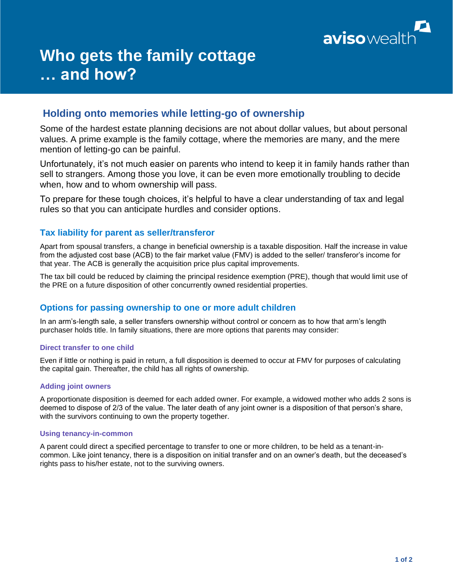

# **Who gets the family cottage … and how?**

## **Holding onto memories while letting-go of ownership**

Some of the hardest estate planning decisions are not about dollar values, but about personal values. A prime example is the family cottage, where the memories are many, and the mere mention of letting-go can be painful.

Unfortunately, it's not much easier on parents who intend to keep it in family hands rather than sell to strangers. Among those you love, it can be even more emotionally troubling to decide when, how and to whom ownership will pass.

To prepare for these tough choices, it's helpful to have a clear understanding of tax and legal rules so that you can anticipate hurdles and consider options.

## **Tax liability for parent as seller/transferor**

Apart from spousal transfers, a change in beneficial ownership is a taxable disposition. Half the increase in value from the adjusted cost base (ACB) to the fair market value (FMV) is added to the seller/ transferor's income for that year. The ACB is generally the acquisition price plus capital improvements.

The tax bill could be reduced by claiming the principal residence exemption (PRE), though that would limit use of the PRE on a future disposition of other concurrently owned residential properties.

## **Options for passing ownership to one or more adult children**

In an arm's-length sale, a seller transfers ownership without control or concern as to how that arm's length purchaser holds title. In family situations, there are more options that parents may consider:

#### **Direct transfer to one child**

Even if little or nothing is paid in return, a full disposition is deemed to occur at FMV for purposes of calculating the capital gain. Thereafter, the child has all rights of ownership.

### **Adding joint owners**

A proportionate disposition is deemed for each added owner. For example, a widowed mother who adds 2 sons is deemed to dispose of 2/3 of the value. The later death of any joint owner is a disposition of that person's share, with the survivors continuing to own the property together.

#### **Using tenancy-in-common**

A parent could direct a specified percentage to transfer to one or more children, to be held as a tenant-incommon. Like joint tenancy, there is a disposition on initial transfer and on an owner's death, but the deceased's rights pass to his/her estate, not to the surviving owners.